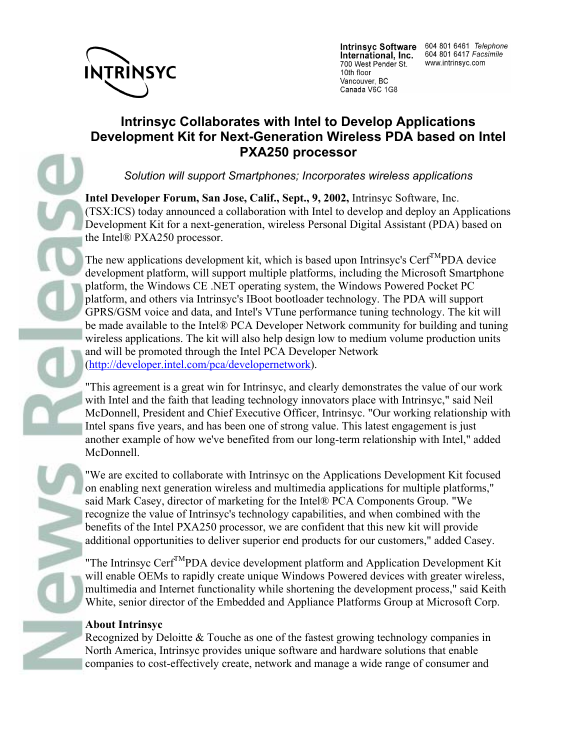

International, Inc. 700 West Pender St. 10th floor Vancouver, BC Canada V6C 1G8

Intrinsyc Software 604 801 6461 Telephone 604 801 6417 Facsimile www.intrinsyc.com

## **Intrinsyc Collaborates with Intel to Develop Applications Development Kit for Next-Generation Wireless PDA based on Intel PXA250 processor**

*Solution will support Smartphones; Incorporates wireless applications*

**Intel Developer Forum, San Jose, Calif., Sept., 9, 2002,** Intrinsyc Software, Inc. (TSX:ICS) today announced a collaboration with Intel to develop and deploy an Applications Development Kit for a next-generation, wireless Personal Digital Assistant (PDA) based on the Intel® PXA250 processor.

The new applications development kit, which is based upon Intrinsyc's Cerf<sup>TM</sup>PDA device development platform, will support multiple platforms, including the Microsoft Smartphone platform, the Windows CE .NET operating system, the Windows Powered Pocket PC platform, and others via Intrinsyc's IBoot bootloader technology. The PDA will support GPRS/GSM voice and data, and Intel's VTune performance tuning technology. The kit will be made available to the Intel® PCA Developer Network community for building and tuning wireless applications. The kit will also help design low to medium volume production units and will be promoted through the Intel PCA Developer Network (http://developer.intel.com/pca/developernetwork).

"This agreement is a great win for Intrinsyc, and clearly demonstrates the value of our work with Intel and the faith that leading technology innovators place with Intrinsyc," said Neil McDonnell, President and Chief Executive Officer, Intrinsyc. "Our working relationship with Intel spans five years, and has been one of strong value. This latest engagement is just another example of how we've benefited from our long-term relationship with Intel," added McDonnell.

"We are excited to collaborate with Intrinsyc on the Applications Development Kit focused on enabling next generation wireless and multimedia applications for multiple platforms," said Mark Casey, director of marketing for the Intel® PCA Components Group. "We recognize the value of Intrinsyc's technology capabilities, and when combined with the benefits of the Intel PXA250 processor, we are confident that this new kit will provide additional opportunities to deliver superior end products for our customers," added Casey.

"The Intrinsyc Cerf<sup>TM</sup>PDA device development platform and Application Development Kit will enable OEMs to rapidly create unique Windows Powered devices with greater wireless, multimedia and Internet functionality while shortening the development process," said Keith White, senior director of the Embedded and Appliance Platforms Group at Microsoft Corp.

## **About Intrinsyc**

Recognized by Deloitte & Touche as one of the fastest growing technology companies in North America, Intrinsyc provides unique software and hardware solutions that enable companies to cost-effectively create, network and manage a wide range of consumer and